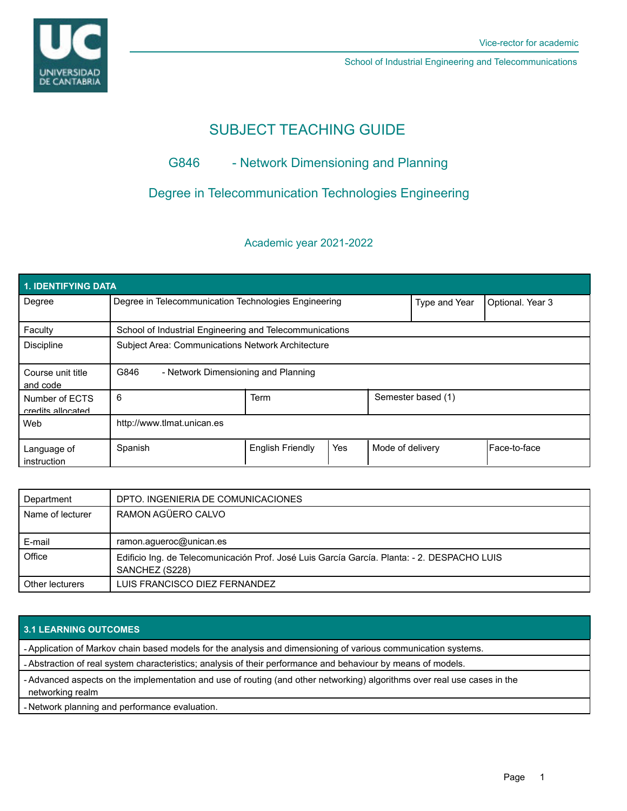

School of Industrial Engineering and Telecommunications

# SUBJECT TEACHING GUIDE

## G846 - Network Dimensioning and Planning

## Degree in Telecommunication Technologies Engineering

## Academic year 2021-2022

| 1. IDENTIFYING DATA                 |                                                         |                         |     |                  |                    |                  |  |  |  |  |
|-------------------------------------|---------------------------------------------------------|-------------------------|-----|------------------|--------------------|------------------|--|--|--|--|
| Degree                              | Degree in Telecommunication Technologies Engineering    |                         |     |                  | Type and Year      | Optional. Year 3 |  |  |  |  |
| Faculty                             | School of Industrial Engineering and Telecommunications |                         |     |                  |                    |                  |  |  |  |  |
| <b>Discipline</b>                   | Subject Area: Communications Network Architecture       |                         |     |                  |                    |                  |  |  |  |  |
| Course unit title<br>and code       | G846<br>- Network Dimensioning and Planning             |                         |     |                  |                    |                  |  |  |  |  |
| Number of ECTS<br>credits allocated | 6                                                       | Term                    |     |                  | Semester based (1) |                  |  |  |  |  |
| Web                                 | http://www.tlmat.unican.es                              |                         |     |                  |                    |                  |  |  |  |  |
| Language of<br>instruction          | Spanish                                                 | <b>English Friendly</b> | Yes | Mode of delivery |                    | Face-to-face     |  |  |  |  |

| Department       | DPTO. INGENIERIA DE COMUNICACIONES                                                                            |  |  |
|------------------|---------------------------------------------------------------------------------------------------------------|--|--|
| Name of lecturer | RAMON AGÜERO CALVO                                                                                            |  |  |
| E-mail           | ramon.agueroc@unican.es                                                                                       |  |  |
| Office           | Edificio Ing. de Telecomunicación Prof. José Luis García García. Planta: - 2. DESPACHO LUIS<br>SANCHEZ (S228) |  |  |
| Other lecturers  | LUIS FRANCISCO DIEZ FERNANDEZ                                                                                 |  |  |

### **3.1 LEARNING OUTCOMES**

- Application of Markov chain based models for the analysis and dimensioning of various communication systems.

- Abstraction of real system characteristics; analysis of their performance and behaviour by means of models.

- Advanced aspects on the implementation and use of routing (and other networking) algorithms over real use cases in the networking realm

- Network planning and performance evaluation.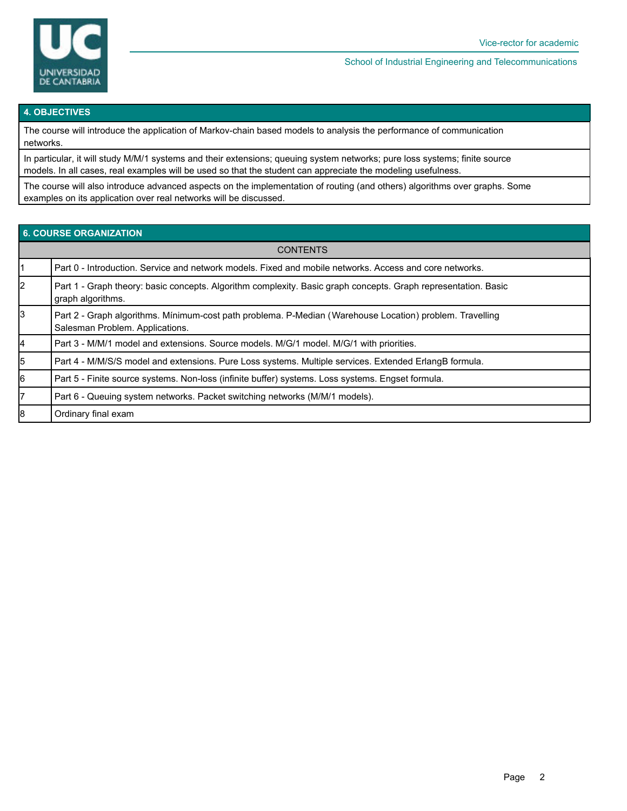

#### School of Industrial Engineering and Telecommunications

#### **4. OBJECTIVES**

The course will introduce the application of Markov-chain based models to analysis the performance of communication networks.

In particular, it will study M/M/1 systems and their extensions; queuing system networks; pure loss systems; finite source models. In all cases, real examples will be used so that the student can appreciate the modeling usefulness.

The course will also introduce advanced aspects on the implementation of routing (and others) algorithms over graphs. Some examples on its application over real networks will be discussed.

### **6. COURSE ORGANIZATION**

| <b>CONTENTS</b> |                                                                                                                                             |  |  |  |
|-----------------|---------------------------------------------------------------------------------------------------------------------------------------------|--|--|--|
|                 | Part 0 - Introduction. Service and network models. Fixed and mobile networks. Access and core networks.                                     |  |  |  |
| 2               | Part 1 - Graph theory: basic concepts. Algorithm complexity. Basic graph concepts. Graph representation. Basic<br>graph algorithms.         |  |  |  |
| l3              | Part 2 - Graph algorithms. Mínimum-cost path problema. P-Median (Warehouse Location) problem. Travelling<br>Salesman Problem. Applications. |  |  |  |
| 4               | Part 3 - M/M/1 model and extensions. Source models. M/G/1 model. M/G/1 with priorities.                                                     |  |  |  |
| 5               | Part 4 - M/M/S/S model and extensions. Pure Loss systems. Multiple services. Extended ErlangB formula.                                      |  |  |  |
| 16              | Part 5 - Finite source systems. Non-loss (infinite buffer) systems. Loss systems. Engset formula.                                           |  |  |  |
| 7               | Part 6 - Queuing system networks. Packet switching networks (M/M/1 models).                                                                 |  |  |  |
| 8               | Ordinary final exam                                                                                                                         |  |  |  |